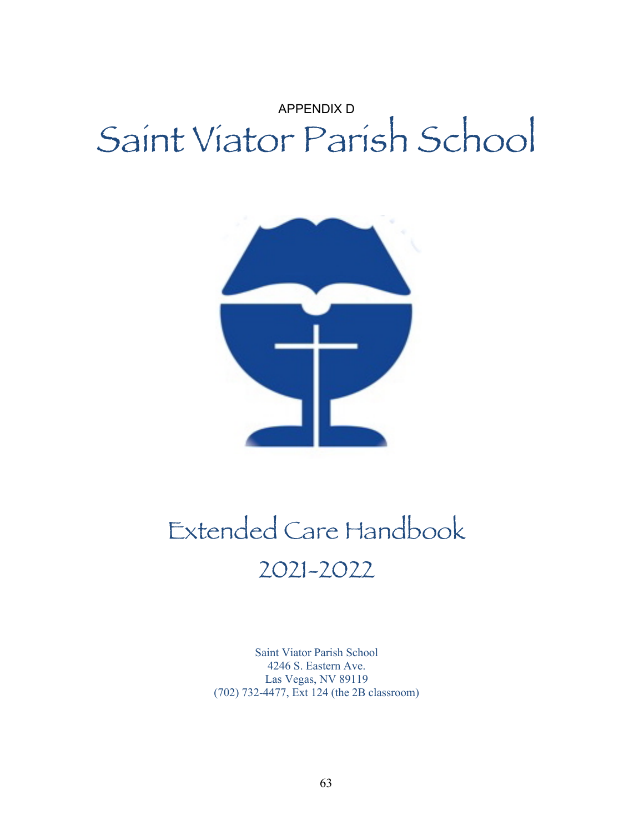# APPENDIX D Saint Viator Parish School



# Extended Care Handbook 2021-2022

Saint Viator Parish School 4246 S. Eastern Ave. Las Vegas, NV 89119 (702) 732-4477, Ext 124 (the 2B classroom)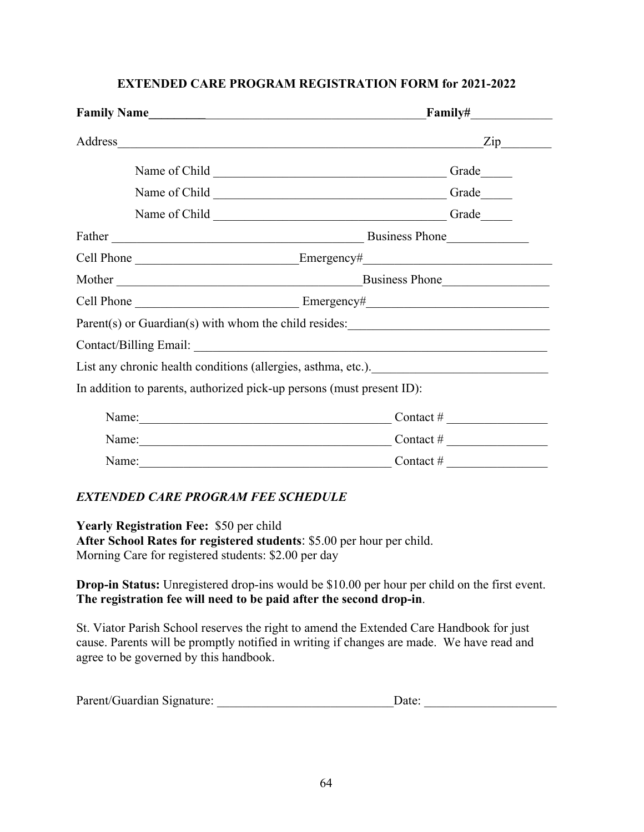| Family Name                                                           | <b>Family#</b>                                                     |  |  |
|-----------------------------------------------------------------------|--------------------------------------------------------------------|--|--|
| Address                                                               | Zip<br><u> 1989 - Johann Stoff, Amerikaansk politiker († 1989)</u> |  |  |
|                                                                       | Grade                                                              |  |  |
|                                                                       | Grade                                                              |  |  |
|                                                                       | Grade                                                              |  |  |
|                                                                       | Business Phone                                                     |  |  |
|                                                                       |                                                                    |  |  |
| Mother                                                                | Business Phone                                                     |  |  |
|                                                                       |                                                                    |  |  |
|                                                                       | Parent(s) or Guardian(s) with whom the child resides:              |  |  |
|                                                                       |                                                                    |  |  |
|                                                                       |                                                                    |  |  |
| In addition to parents, authorized pick-up persons (must present ID): |                                                                    |  |  |
|                                                                       | Contact $\#$                                                       |  |  |
| Name: Names                                                           | Contact # $\frac{1}{2}$                                            |  |  |
|                                                                       | Contact #                                                          |  |  |

# **EXTENDED CARE PROGRAM REGISTRATION FORM for 2021-2022**

# *EXTENDED CARE PROGRAM FEE SCHEDULE*

**Yearly Registration Fee:** \$50 per child **After School Rates for registered students**: \$5.00 per hour per child. Morning Care for registered students: \$2.00 per day

**Drop-in Status:** Unregistered drop-ins would be \$10.00 per hour per child on the first event. **The registration fee will need to be paid after the second drop-in**.

St. Viator Parish School reserves the right to amend the Extended Care Handbook for just cause. Parents will be promptly notified in writing if changes are made. We have read and agree to be governed by this handbook.

| Parent/Guardian Signature: | Date: |  |
|----------------------------|-------|--|
|----------------------------|-------|--|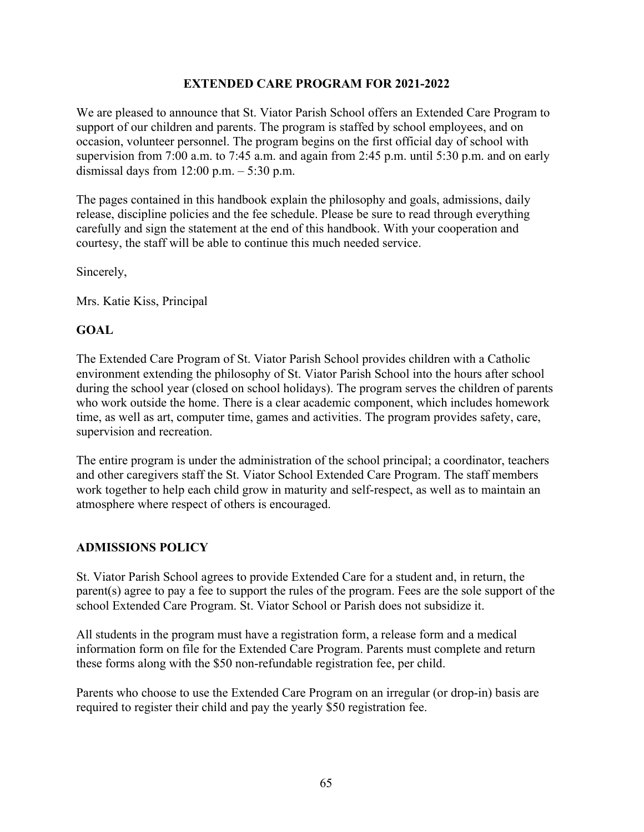#### **EXTENDED CARE PROGRAM FOR 2021-2022**

We are pleased to announce that St. Viator Parish School offers an Extended Care Program to support of our children and parents. The program is staffed by school employees, and on occasion, volunteer personnel. The program begins on the first official day of school with supervision from 7:00 a.m. to 7:45 a.m. and again from 2:45 p.m. until 5:30 p.m. and on early dismissal days from  $12:00$  p.m.  $-5:30$  p.m.

The pages contained in this handbook explain the philosophy and goals, admissions, daily release, discipline policies and the fee schedule. Please be sure to read through everything carefully and sign the statement at the end of this handbook. With your cooperation and courtesy, the staff will be able to continue this much needed service.

Sincerely,

Mrs. Katie Kiss, Principal

#### **GOAL**

The Extended Care Program of St. Viator Parish School provides children with a Catholic environment extending the philosophy of St. Viator Parish School into the hours after school during the school year (closed on school holidays). The program serves the children of parents who work outside the home. There is a clear academic component, which includes homework time, as well as art, computer time, games and activities. The program provides safety, care, supervision and recreation.

The entire program is under the administration of the school principal; a coordinator, teachers and other caregivers staff the St. Viator School Extended Care Program. The staff members work together to help each child grow in maturity and self-respect, as well as to maintain an atmosphere where respect of others is encouraged.

#### **ADMISSIONS POLICY**

St. Viator Parish School agrees to provide Extended Care for a student and, in return, the parent(s) agree to pay a fee to support the rules of the program. Fees are the sole support of the school Extended Care Program. St. Viator School or Parish does not subsidize it.

All students in the program must have a registration form, a release form and a medical information form on file for the Extended Care Program. Parents must complete and return these forms along with the \$50 non-refundable registration fee, per child.

Parents who choose to use the Extended Care Program on an irregular (or drop-in) basis are required to register their child and pay the yearly \$50 registration fee.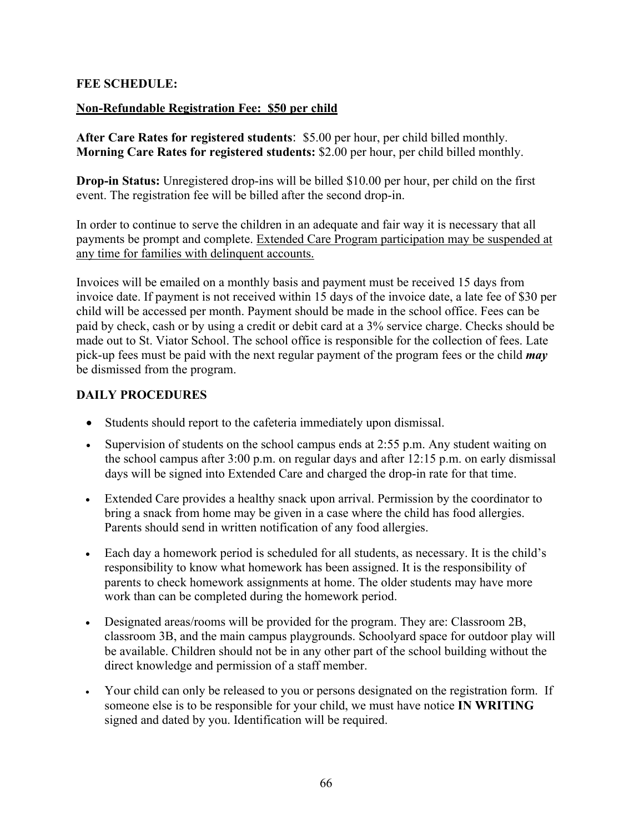#### **FEE SCHEDULE:**

#### **Non-Refundable Registration Fee: \$50 per child**

**After Care Rates for registered students**: \$5.00 per hour, per child billed monthly. **Morning Care Rates for registered students:** \$2.00 per hour, per child billed monthly.

**Drop-in Status:** Unregistered drop-ins will be billed \$10.00 per hour, per child on the first event. The registration fee will be billed after the second drop-in.

In order to continue to serve the children in an adequate and fair way it is necessary that all payments be prompt and complete. Extended Care Program participation may be suspended at any time for families with delinquent accounts.

Invoices will be emailed on a monthly basis and payment must be received 15 days from invoice date. If payment is not received within 15 days of the invoice date, a late fee of \$30 per child will be accessed per month. Payment should be made in the school office. Fees can be paid by check, cash or by using a credit or debit card at a 3% service charge. Checks should be made out to St. Viator School. The school office is responsible for the collection of fees. Late pick-up fees must be paid with the next regular payment of the program fees or the child *may*  be dismissed from the program.

#### **DAILY PROCEDURES**

- Students should report to the cafeteria immediately upon dismissal.
- Supervision of students on the school campus ends at 2:55 p.m. Any student waiting on the school campus after 3:00 p.m. on regular days and after 12:15 p.m. on early dismissal days will be signed into Extended Care and charged the drop-in rate for that time.
- Extended Care provides a healthy snack upon arrival. Permission by the coordinator to bring a snack from home may be given in a case where the child has food allergies. Parents should send in written notification of any food allergies.
- Each day a homework period is scheduled for all students, as necessary. It is the child's responsibility to know what homework has been assigned. It is the responsibility of parents to check homework assignments at home. The older students may have more work than can be completed during the homework period.
- Designated areas/rooms will be provided for the program. They are: Classroom 2B, classroom 3B, and the main campus playgrounds. Schoolyard space for outdoor play will be available. Children should not be in any other part of the school building without the direct knowledge and permission of a staff member.
- Your child can only be released to you or persons designated on the registration form. If someone else is to be responsible for your child, we must have notice **IN WRITING**  signed and dated by you. Identification will be required.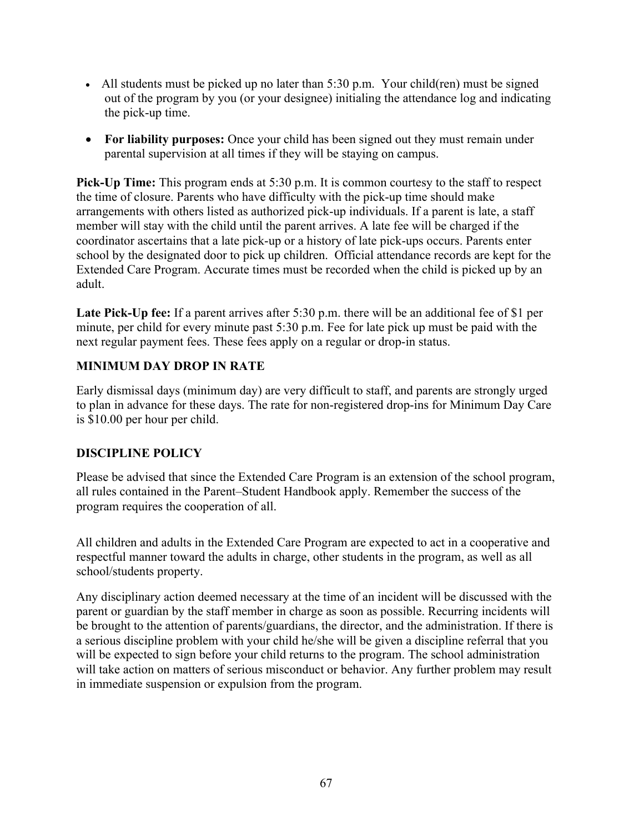- All students must be picked up no later than 5:30 p.m. Your child(ren) must be signed out of the program by you (or your designee) initialing the attendance log and indicating the pick-up time.
- For liability purposes: Once your child has been signed out they must remain under parental supervision at all times if they will be staying on campus.

**Pick-Up Time:** This program ends at 5:30 p.m. It is common courtesy to the staff to respect the time of closure. Parents who have difficulty with the pick-up time should make arrangements with others listed as authorized pick-up individuals. If a parent is late, a staff member will stay with the child until the parent arrives. A late fee will be charged if the coordinator ascertains that a late pick-up or a history of late pick-ups occurs. Parents enter school by the designated door to pick up children. Official attendance records are kept for the Extended Care Program. Accurate times must be recorded when the child is picked up by an adult.

Late Pick-Up fee: If a parent arrives after 5:30 p.m. there will be an additional fee of \$1 per minute, per child for every minute past 5:30 p.m. Fee for late pick up must be paid with the next regular payment fees. These fees apply on a regular or drop-in status.

## **MINIMUM DAY DROP IN RATE**

Early dismissal days (minimum day) are very difficult to staff, and parents are strongly urged to plan in advance for these days. The rate for non-registered drop-ins for Minimum Day Care is \$10.00 per hour per child.

# **DISCIPLINE POLICY**

Please be advised that since the Extended Care Program is an extension of the school program, all rules contained in the Parent–Student Handbook apply. Remember the success of the program requires the cooperation of all.

All children and adults in the Extended Care Program are expected to act in a cooperative and respectful manner toward the adults in charge, other students in the program, as well as all school/students property.

Any disciplinary action deemed necessary at the time of an incident will be discussed with the parent or guardian by the staff member in charge as soon as possible. Recurring incidents will be brought to the attention of parents/guardians, the director, and the administration. If there is a serious discipline problem with your child he/she will be given a discipline referral that you will be expected to sign before your child returns to the program. The school administration will take action on matters of serious misconduct or behavior. Any further problem may result in immediate suspension or expulsion from the program.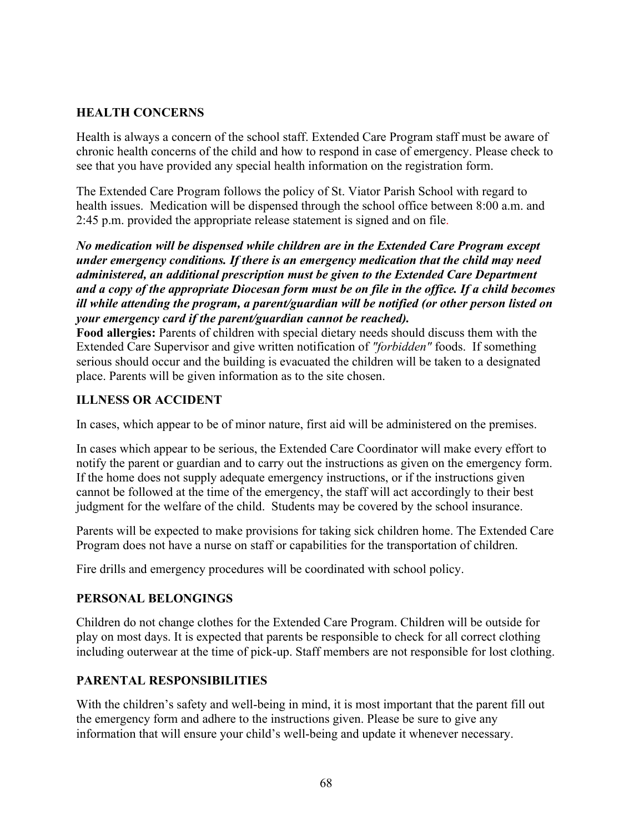## **HEALTH CONCERNS**

Health is always a concern of the school staff. Extended Care Program staff must be aware of chronic health concerns of the child and how to respond in case of emergency. Please check to see that you have provided any special health information on the registration form.

The Extended Care Program follows the policy of St. Viator Parish School with regard to health issues. Medication will be dispensed through the school office between 8:00 a.m. and 2:45 p.m. provided the appropriate release statement is signed and on file.

*No medication will be dispensed while children are in the Extended Care Program except under emergency conditions. If there is an emergency medication that the child may need administered, an additional prescription must be given to the Extended Care Department and a copy of the appropriate Diocesan form must be on file in the office. If a child becomes ill while attending the program, a parent/guardian will be notified (or other person listed on your emergency card if the parent/guardian cannot be reached).*

**Food allergies:** Parents of children with special dietary needs should discuss them with the Extended Care Supervisor and give written notification of *"forbidden"* foods. If something serious should occur and the building is evacuated the children will be taken to a designated place. Parents will be given information as to the site chosen.

#### **ILLNESS OR ACCIDENT**

In cases, which appear to be of minor nature, first aid will be administered on the premises.

In cases which appear to be serious, the Extended Care Coordinator will make every effort to notify the parent or guardian and to carry out the instructions as given on the emergency form. If the home does not supply adequate emergency instructions, or if the instructions given cannot be followed at the time of the emergency, the staff will act accordingly to their best judgment for the welfare of the child. Students may be covered by the school insurance.

Parents will be expected to make provisions for taking sick children home. The Extended Care Program does not have a nurse on staff or capabilities for the transportation of children.

Fire drills and emergency procedures will be coordinated with school policy.

#### **PERSONAL BELONGINGS**

Children do not change clothes for the Extended Care Program. Children will be outside for play on most days. It is expected that parents be responsible to check for all correct clothing including outerwear at the time of pick-up. Staff members are not responsible for lost clothing.

#### **PARENTAL RESPONSIBILITIES**

With the children's safety and well-being in mind, it is most important that the parent fill out the emergency form and adhere to the instructions given. Please be sure to give any information that will ensure your child's well-being and update it whenever necessary.